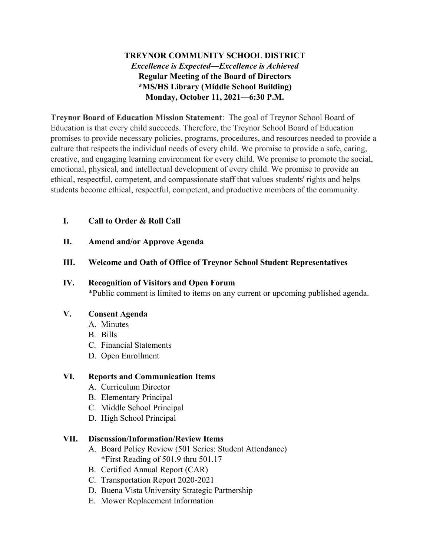# **TREYNOR COMMUNITY SCHOOL DISTRICT** *Excellence is Expected—Excellence is Achieved* **Regular Meeting of the Board of Directors \*MS/HS Library (Middle School Building) Monday, October 11, 2021—6:30 P.M.**

**Treynor Board of Education Mission Statement**: The goal of Treynor School Board of Education is that every child succeeds. Therefore, the Treynor School Board of Education promises to provide necessary policies, programs, procedures, and resources needed to provide a culture that respects the individual needs of every child. We promise to provide a safe, caring, creative, and engaging learning environment for every child. We promise to promote the social, emotional, physical, and intellectual development of every child. We promise to provide an ethical, respectful, competent, and compassionate staff that values students' rights and helps students become ethical, respectful, competent, and productive members of the community.

# **I. Call to Order & Roll Call**

**II. Amend and/or Approve Agenda**

## **III. Welcome and Oath of Office of Treynor School Student Representatives**

#### **IV. Recognition of Visitors and Open Forum**

\*Public comment is limited to items on any current or upcoming published agenda.

#### **V. Consent Agenda**

- A. Minutes
- B. Bills
- C. Financial Statements
- D. Open Enrollment

#### **VI. Reports and Communication Items**

- A. Curriculum Director
- B. Elementary Principal
- C. Middle School Principal
- D. High School Principal

#### **VII. Discussion/Information/Review Items**

- A. Board Policy Review (501 Series: Student Attendance) \*First Reading of 501.9 thru 501.17
- B. Certified Annual Report (CAR)
- C. Transportation Report 2020-2021
- D. Buena Vista University Strategic Partnership
- E. Mower Replacement Information